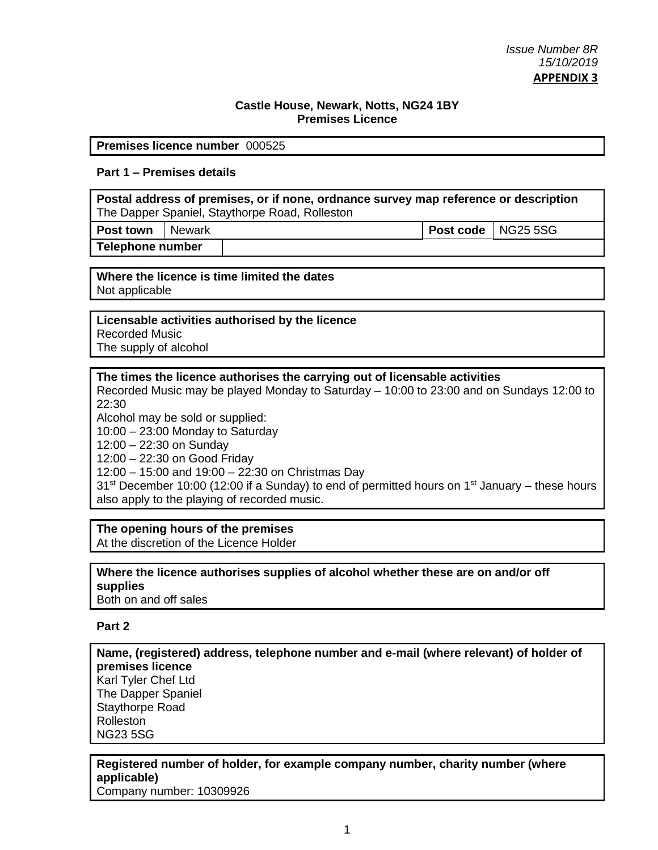### **Castle House, Newark, Notts, NG24 1BY Premises Licence**

#### **Premises licence number** 000525

## **Part 1 – Premises details**

**Postal address of premises, or if none, ordnance survey map reference or description** The Dapper Spaniel, Staythorpe Road, Rolleston

**Post town** Newark **Post code** NG25 5SG

**Telephone number**

**Where the licence is time limited the dates** Not applicable

### **Licensable activities authorised by the licence**

Recorded Music The supply of alcohol

### **The times the licence authorises the carrying out of licensable activities**

Recorded Music may be played Monday to Saturday – 10:00 to 23:00 and on Sundays 12:00 to 22:30

Alcohol may be sold or supplied:

10:00 – 23:00 Monday to Saturday

12:00 – 22:30 on Sunday

12:00 – 22:30 on Good Friday

12:00 – 15:00 and 19:00 – 22:30 on Christmas Day

 $31<sup>st</sup>$  December 10:00 (12:00 if a Sunday) to end of permitted hours on 1<sup>st</sup> January – these hours also apply to the playing of recorded music.

### **The opening hours of the premises**

At the discretion of the Licence Holder

#### **Where the licence authorises supplies of alcohol whether these are on and/or off supplies** Both on and off sales

# **Part 2**

**Name, (registered) address, telephone number and e-mail (where relevant) of holder of premises licence** Karl Tyler Chef Ltd The Dapper Spaniel Staythorpe Road Rolleston NG23 5SG

#### **Registered number of holder, for example company number, charity number (where applicable)** Company number: 10309926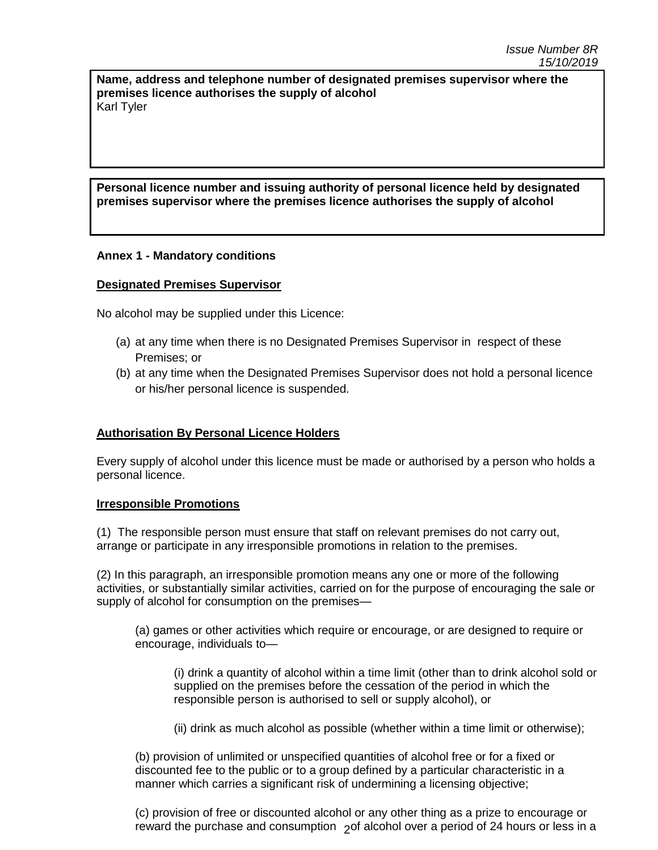**Name, address and telephone number of designated premises supervisor where the premises licence authorises the supply of alcohol** Karl Tyler

# **Personal licence number and issuing authority of personal licence held by designated premises supervisor where the premises licence authorises the supply of alcohol**

## **Annex 1 - Mandatory conditions**

### **Designated Premises Supervisor**

No alcohol may be supplied under this Licence:

- (a) at any time when there is no Designated Premises Supervisor in respect of these Premises; or
- (b) at any time when the Designated Premises Supervisor does not hold a personal licence or his/her personal licence is suspended.

### **Authorisation By Personal Licence Holders**

Every supply of alcohol under this licence must be made or authorised by a person who holds a personal licence.

### **Irresponsible Promotions**

(1) The responsible person must ensure that staff on relevant premises do not carry out, arrange or participate in any irresponsible promotions in relation to the premises.

(2) In this paragraph, an irresponsible promotion means any one or more of the following activities, or substantially similar activities, carried on for the purpose of encouraging the sale or supply of alcohol for consumption on the premises—

(a) games or other activities which require or encourage, or are designed to require or encourage, individuals to—

(i) drink a quantity of alcohol within a time limit (other than to drink alcohol sold or supplied on the premises before the cessation of the period in which the responsible person is authorised to sell or supply alcohol), or

(ii) drink as much alcohol as possible (whether within a time limit or otherwise);

(b) provision of unlimited or unspecified quantities of alcohol free or for a fixed or discounted fee to the public or to a group defined by a particular characteristic in a manner which carries a significant risk of undermining a licensing objective;

reward the purchase and consumption  $\overline{2}$ of alcohol over a period of 24 hours or less in a (c) provision of free or discounted alcohol or any other thing as a prize to encourage or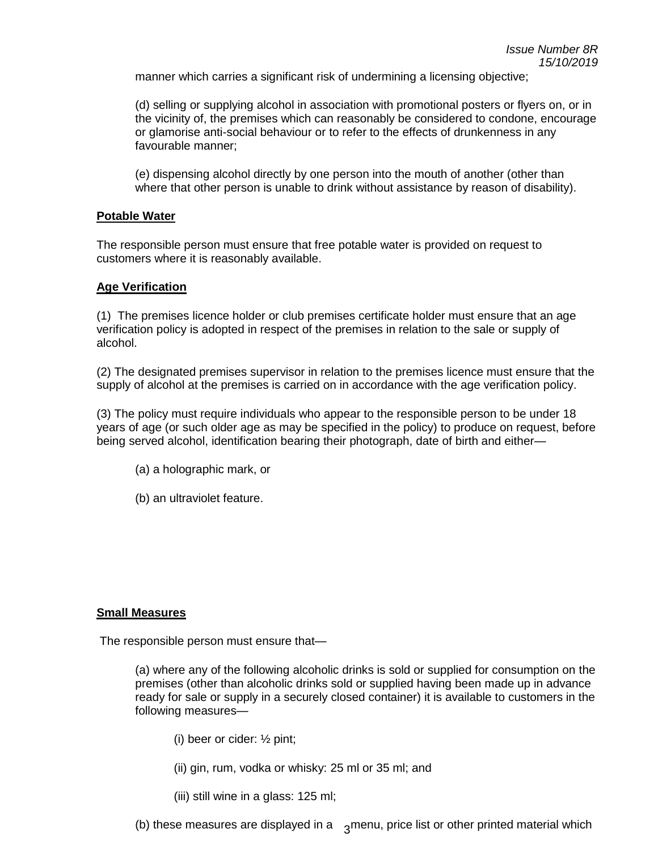manner which carries a significant risk of undermining a licensing objective;

(d) selling or supplying alcohol in association with promotional posters or flyers on, or in the vicinity of, the premises which can reasonably be considered to condone, encourage or glamorise anti-social behaviour or to refer to the effects of drunkenness in any favourable manner;

(e) dispensing alcohol directly by one person into the mouth of another (other than where that other person is unable to drink without assistance by reason of disability).

### **Potable Water**

The responsible person must ensure that free potable water is provided on request to customers where it is reasonably available.

#### **Age Verification**

(1) The premises licence holder or club premises certificate holder must ensure that an age verification policy is adopted in respect of the premises in relation to the sale or supply of alcohol.

(2) The designated premises supervisor in relation to the premises licence must ensure that the supply of alcohol at the premises is carried on in accordance with the age verification policy.

(3) The policy must require individuals who appear to the responsible person to be under 18 years of age (or such older age as may be specified in the policy) to produce on request, before being served alcohol, identification bearing their photograph, date of birth and either—

- (a) a holographic mark, or
- (b) an ultraviolet feature.

#### **Small Measures**

The responsible person must ensure that—

(a) where any of the following alcoholic drinks is sold or supplied for consumption on the premises (other than alcoholic drinks sold or supplied having been made up in advance ready for sale or supply in a securely closed container) it is available to customers in the following measures—

- (i) beer or cider: ½ pint;
- (ii) gin, rum, vodka or whisky: 25 ml or 35 ml; and
- (iii) still wine in a glass: 125 ml;

(b) these measures are displayed in a  $\sigma$ <sub>3</sub> menu, price list or other printed material which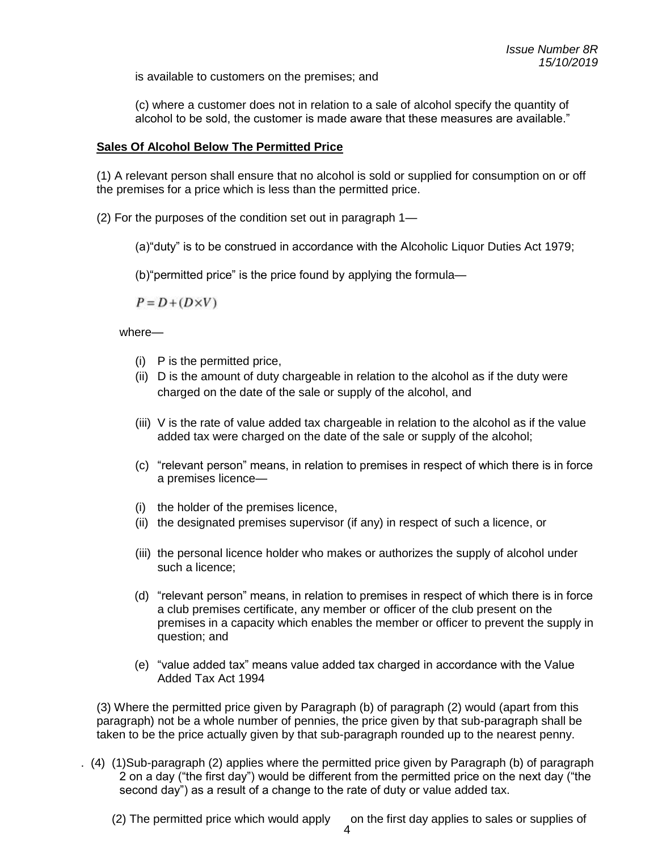is available to customers on the premises; and

(c) where a customer does not in relation to a sale of alcohol specify the quantity of alcohol to be sold, the customer is made aware that these measures are available."

## **Sales Of Alcohol Below The Permitted Price**

(1) A relevant person shall ensure that no alcohol is sold or supplied for consumption on or off the premises for a price which is less than the permitted price.

(2) For the purposes of the condition set out in paragraph 1—

(a)"duty" is to be construed in accordance with the Alcoholic Liquor Duties Act 1979;

(b)"permitted price" is the price found by applying the formula—

 $P = D + (D \times V)$ 

where—

- (i) P is the permitted price,
- (ii) D is the amount of duty chargeable in relation to the alcohol as if the duty were charged on the date of the sale or supply of the alcohol, and
- (iii) V is the rate of value added tax chargeable in relation to the alcohol as if the value added tax were charged on the date of the sale or supply of the alcohol;
- (c) "relevant person" means, in relation to premises in respect of which there is in force a premises licence—
- (i) the holder of the premises licence,
- (ii) the designated premises supervisor (if any) in respect of such a licence, or
- (iii) the personal licence holder who makes or authorizes the supply of alcohol under such a licence;
- (d) "relevant person" means, in relation to premises in respect of which there is in force a club premises certificate, any member or officer of the club present on the premises in a capacity which enables the member or officer to prevent the supply in question; and
- (e) "value added tax" means value added tax charged in accordance with the Value Added Tax Act 1994

(3) Where the permitted price given by Paragraph (b) of paragraph (2) would (apart from this paragraph) not be a whole number of pennies, the price given by that sub-paragraph shall be taken to be the price actually given by that sub-paragraph rounded up to the nearest penny.

. (4) (1)Sub-paragraph (2) applies where the permitted price given by Paragraph (b) of paragraph 2 on a day ("the first day") would be different from the permitted price on the next day ("the second day") as a result of a change to the rate of duty or value added tax.

(2) The permitted price which would apply on the first day applies to sales or supplies of